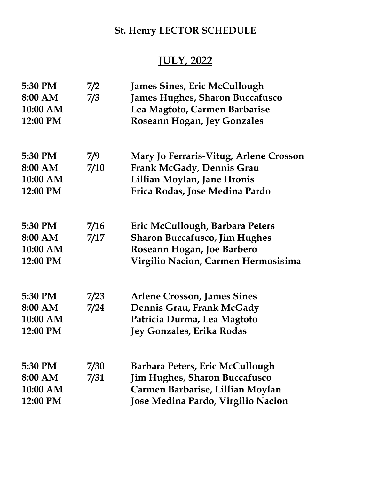## St. Henry LECTOR SCHEDULE

## JULY, 2022

| 7/2  | <b>James Sines, Eric McCullough</b>    |
|------|----------------------------------------|
|      | <b>James Hughes, Sharon Buccafusco</b> |
|      | Lea Magtoto, Carmen Barbarise          |
|      | <b>Roseann Hogan, Jey Gonzales</b>     |
| 7/9  | Mary Jo Ferraris-Vitug, Arlene Crosson |
| 7/10 | <b>Frank McGady, Dennis Grau</b>       |
|      | Lillian Moylan, Jane Hronis            |
|      | Erica Rodas, Jose Medina Pardo         |
| 7/16 | Eric McCullough, Barbara Peters        |
| 7/17 | <b>Sharon Buccafusco, Jim Hughes</b>   |
|      | Roseann Hogan, Joe Barbero             |
|      | Virgilio Nacion, Carmen Hermosisima    |
| 7/23 | <b>Arlene Crosson, James Sines</b>     |
| 7/24 | Dennis Grau, Frank McGady              |
|      | Patricia Durma, Lea Magtoto            |
|      | Jey Gonzales, Erika Rodas              |
| 7/30 | Barbara Peters, Eric McCullough        |
| 7/31 | <b>Jim Hughes, Sharon Buccafusco</b>   |
|      | Carmen Barbarise, Lillian Moylan       |
|      | Jose Medina Pardo, Virgilio Nacion     |
|      | 7/3                                    |